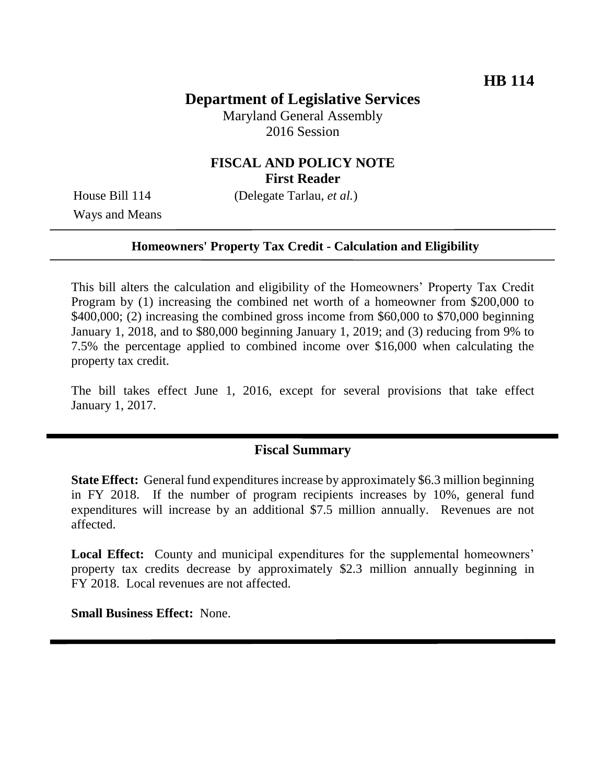# **Department of Legislative Services**

Maryland General Assembly 2016 Session

### **FISCAL AND POLICY NOTE First Reader**

Ways and Means

House Bill 114 (Delegate Tarlau, *et al.*)

#### **Homeowners' Property Tax Credit - Calculation and Eligibility**

This bill alters the calculation and eligibility of the Homeowners' Property Tax Credit Program by (1) increasing the combined net worth of a homeowner from \$200,000 to \$400,000; (2) increasing the combined gross income from \$60,000 to \$70,000 beginning January 1, 2018, and to \$80,000 beginning January 1, 2019; and (3) reducing from 9% to 7.5% the percentage applied to combined income over \$16,000 when calculating the property tax credit.

The bill takes effect June 1, 2016, except for several provisions that take effect January 1, 2017.

### **Fiscal Summary**

**State Effect:** General fund expenditures increase by approximately \$6.3 million beginning in FY 2018. If the number of program recipients increases by 10%, general fund expenditures will increase by an additional \$7.5 million annually. Revenues are not affected.

**Local Effect:** County and municipal expenditures for the supplemental homeowners' property tax credits decrease by approximately \$2.3 million annually beginning in FY 2018. Local revenues are not affected.

**Small Business Effect:** None.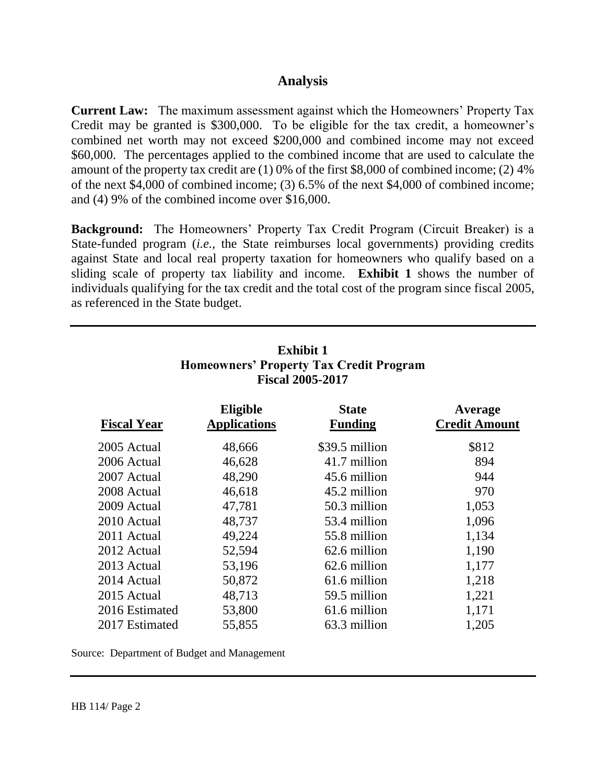#### **Analysis**

**Current Law:** The maximum assessment against which the Homeowners' Property Tax Credit may be granted is \$300,000. To be eligible for the tax credit, a homeowner's combined net worth may not exceed \$200,000 and combined income may not exceed \$60,000. The percentages applied to the combined income that are used to calculate the amount of the property tax credit are (1) 0% of the first \$8,000 of combined income; (2) 4% of the next \$4,000 of combined income; (3) 6.5% of the next \$4,000 of combined income; and (4) 9% of the combined income over \$16,000.

**Background:** The Homeowners' Property Tax Credit Program (Circuit Breaker) is a State-funded program (*i.e.,* the State reimburses local governments) providing credits against State and local real property taxation for homeowners who qualify based on a sliding scale of property tax liability and income. **Exhibit 1** shows the number of individuals qualifying for the tax credit and the total cost of the program since fiscal 2005, as referenced in the State budget.

| <b>FISCAL ZUUS-ZUTT</b> |                                        |                                |                                 |
|-------------------------|----------------------------------------|--------------------------------|---------------------------------|
| <b>Fiscal Year</b>      | <b>Eligible</b><br><b>Applications</b> | <b>State</b><br><b>Funding</b> | Average<br><b>Credit Amount</b> |
| 2005 Actual             | 48,666                                 | \$39.5 million                 | \$812                           |
| 2006 Actual             | 46,628                                 | 41.7 million                   | 894                             |
| 2007 Actual             | 48,290                                 | 45.6 million                   | 944                             |
| 2008 Actual             | 46,618                                 | 45.2 million                   | 970                             |
| 2009 Actual             | 47,781                                 | 50.3 million                   | 1,053                           |
| 2010 Actual             | 48,737                                 | 53.4 million                   | 1,096                           |
| 2011 Actual             | 49,224                                 | 55.8 million                   | 1,134                           |
| 2012 Actual             | 52,594                                 | 62.6 million                   | 1,190                           |
| 2013 Actual             | 53,196                                 | 62.6 million                   | 1,177                           |
| 2014 Actual             | 50,872                                 | 61.6 million                   | 1,218                           |
| 2015 Actual             | 48,713                                 | 59.5 million                   | 1,221                           |
| 2016 Estimated          | 53,800                                 | 61.6 million                   | 1,171                           |
| 2017 Estimated          | 55,855                                 | 63.3 million                   | 1,205                           |

### **Exhibit 1 Homeowners' Property Tax Credit Program Fiscal 2005-2015**

Source: Department of Budget and Management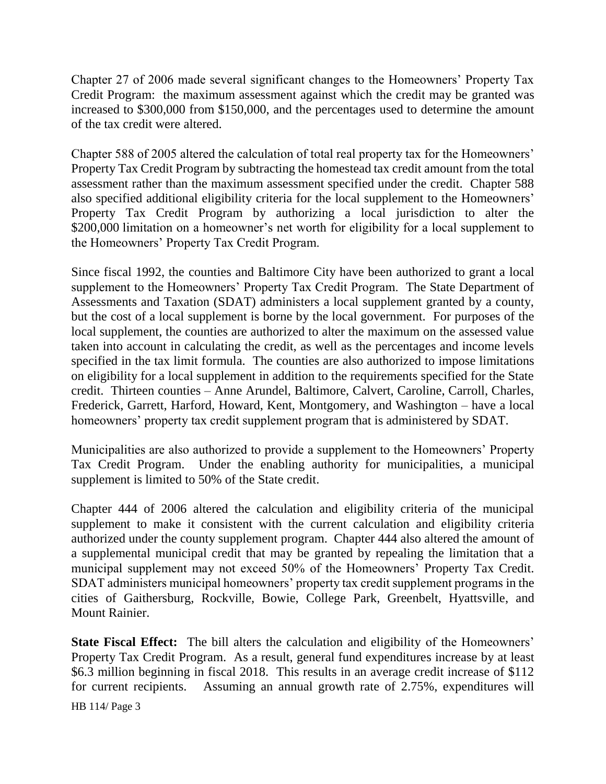Chapter 27 of 2006 made several significant changes to the Homeowners' Property Tax Credit Program: the maximum assessment against which the credit may be granted was increased to \$300,000 from \$150,000, and the percentages used to determine the amount of the tax credit were altered.

Chapter 588 of 2005 altered the calculation of total real property tax for the Homeowners' Property Tax Credit Program by subtracting the homestead tax credit amount from the total assessment rather than the maximum assessment specified under the credit. Chapter 588 also specified additional eligibility criteria for the local supplement to the Homeowners' Property Tax Credit Program by authorizing a local jurisdiction to alter the \$200,000 limitation on a homeowner's net worth for eligibility for a local supplement to the Homeowners' Property Tax Credit Program.

Since fiscal 1992, the counties and Baltimore City have been authorized to grant a local supplement to the Homeowners' Property Tax Credit Program. The State Department of Assessments and Taxation (SDAT) administers a local supplement granted by a county, but the cost of a local supplement is borne by the local government. For purposes of the local supplement, the counties are authorized to alter the maximum on the assessed value taken into account in calculating the credit, as well as the percentages and income levels specified in the tax limit formula. The counties are also authorized to impose limitations on eligibility for a local supplement in addition to the requirements specified for the State credit. Thirteen counties – Anne Arundel, Baltimore, Calvert, Caroline, Carroll, Charles, Frederick, Garrett, Harford, Howard, Kent, Montgomery, and Washington – have a local homeowners' property tax credit supplement program that is administered by SDAT.

Municipalities are also authorized to provide a supplement to the Homeowners' Property Tax Credit Program. Under the enabling authority for municipalities, a municipal supplement is limited to 50% of the State credit.

Chapter 444 of 2006 altered the calculation and eligibility criteria of the municipal supplement to make it consistent with the current calculation and eligibility criteria authorized under the county supplement program. Chapter 444 also altered the amount of a supplemental municipal credit that may be granted by repealing the limitation that a municipal supplement may not exceed 50% of the Homeowners' Property Tax Credit. SDAT administers municipal homeowners' property tax credit supplement programs in the cities of Gaithersburg, Rockville, Bowie, College Park, Greenbelt, Hyattsville, and Mount Rainier.

**State Fiscal Effect:** The bill alters the calculation and eligibility of the Homeowners' Property Tax Credit Program. As a result, general fund expenditures increase by at least \$6.3 million beginning in fiscal 2018. This results in an average credit increase of \$112 for current recipients. Assuming an annual growth rate of 2.75%, expenditures will

HB 114/ Page 3